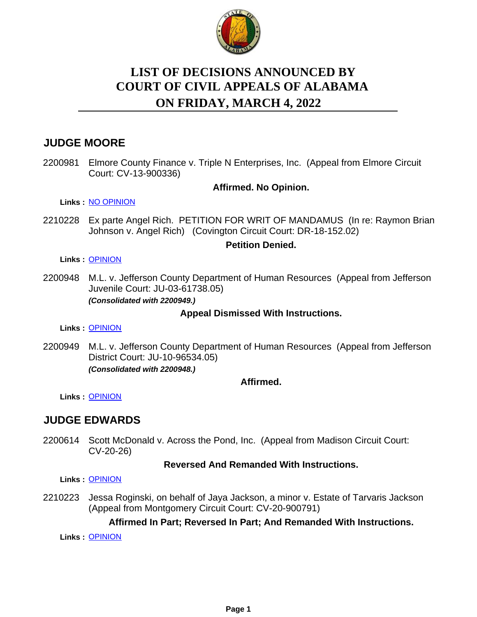

# **LIST OF DECISIONS ANNOUNCED BY ON FRIDAY, MARCH 4, 2022 COURT OF CIVIL APPEALS OF ALABAMA**

# **JUDGE MOORE**

2200981 Elmore County Finance v. Triple N Enterprises, Inc. (Appeal from Elmore Circuit Court: CV-13-900336)

### **Affirmed. No Opinion.**

**Links :** [NO OPINION](https://acis.alabama.gov/displaydocs.cfm?no=1124225&event=6A10JZU8U)

2210228 Ex parte Angel Rich. PETITION FOR WRIT OF MANDAMUS (In re: Raymon Brian Johnson v. Angel Rich) (Covington Circuit Court: DR-18-152.02)

#### **Petition Denied.**

#### **Links :** [OPINION](https://acis.alabama.gov/displaydocs.cfm?no=1124223&event=6A10JZU38)

2200948 M.L. v. Jefferson County Department of Human Resources (Appeal from Jefferson Juvenile Court: JU-03-61738.05) *(Consolidated with 2200949.)*

### **Appeal Dismissed With Instructions.**

**Links :** [OPINION](https://acis.alabama.gov/displaydocs.cfm?no=1124221&event=6A10JZTLH)

2200949 M.L. v. Jefferson County Department of Human Resources (Appeal from Jefferson District Court: JU-10-96534.05) *(Consolidated with 2200948.)*

### **Affirmed.**

**Links :** [OPINION](https://acis.alabama.gov/displaydocs.cfm?no=1124221&event=6A10JZTLH)

## **JUDGE EDWARDS**

2200614 Scott McDonald v. Across the Pond, Inc. (Appeal from Madison Circuit Court: CV-20-26)

### **Reversed And Remanded With Instructions.**

**Links :** [OPINION](https://acis.alabama.gov/displaydocs.cfm?no=1124220&event=6A10JZTHS)

2210223 Jessa Roginski, on behalf of Jaya Jackson, a minor v. Estate of Tarvaris Jackson (Appeal from Montgomery Circuit Court: CV-20-900791)

### **Affirmed In Part; Reversed In Part; And Remanded With Instructions.**

**Links :** [OPINION](https://acis.alabama.gov/displaydocs.cfm?no=1124222&event=6A10JZU00)